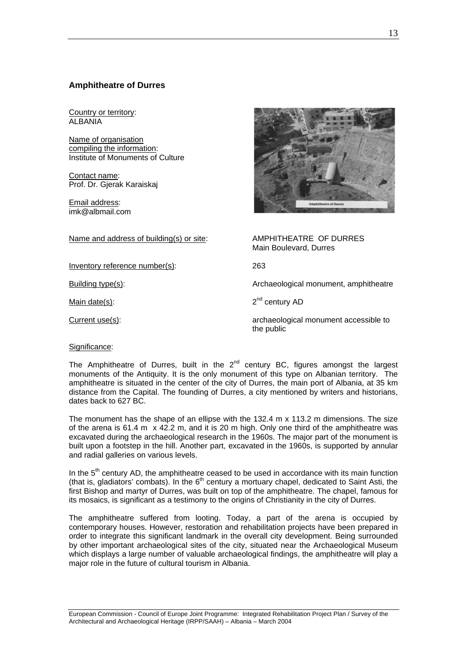# **Amphitheatre of Durres**

Country or territory: ALBANIA

Name of organisation compiling the information: Institute of Monuments of Culture

Contact name: Prof. Dr. Gjerak Karaiskaj

Email address: imk@albmail.com

Name and address of building(s) or site: AMPHITHEATRE OF DURRES

Inventory reference number(s): 263

Main Boulevard, Durres

Building type(s): The action of the Archaeological monument, amphitheatre

Main date(s):  $2<sup>nd</sup>$  century AD

Current use(s): contract the current use of the current accessible to archaeological monument accessible to the public

Significance:

The Amphitheatre of Durres, built in the  $2<sup>nd</sup>$  century BC, figures amongst the largest monuments of the Antiquity. It is the only monument of this type on Albanian territory. The amphitheatre is situated in the center of the city of Durres, the main port of Albania, at 35 km distance from the Capital. The founding of Durres, a city mentioned by writers and historians, dates back to 627 BC.

The monument has the shape of an ellipse with the 132.4 m x 113.2 m dimensions. The size of the arena is 61.4 m  $\times$  42.2 m, and it is 20 m high. Only one third of the amphitheatre was excavated during the archaeological research in the 1960s. The major part of the monument is built upon a footstep in the hill. Another part, excavated in the 1960s, is supported by annular and radial galleries on various levels.

In the  $5<sup>th</sup>$  century AD, the amphitheatre ceased to be used in accordance with its main function (that is, gladiators' combats). In the  $6<sup>th</sup>$  century a mortuary chapel, dedicated to Saint Asti, the first Bishop and martyr of Durres, was built on top of the amphitheatre. The chapel, famous for its mosaics, is significant as a testimony to the origins of Christianity in the city of Durres.

The amphitheatre suffered from looting. Today, a part of the arena is occupied by contemporary houses. However, restoration and rehabilitation projects have been prepared in order to integrate this significant landmark in the overall city development. Being surrounded by other important archaeological sites of the city, situated near the Archaeological Museum which displays a large number of valuable archaeological findings, the amphitheatre will play a major role in the future of cultural tourism in Albania.

European Commission - Council of Europe Joint Programme: Integrated Rehabilitation Project Plan / Survey of the Architectural and Archaeological Heritage (IRPP/SAAH) – Albania – March 2004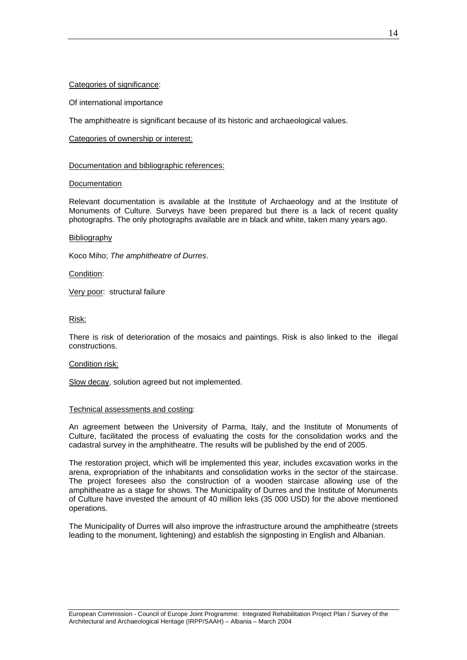## Categories of significance:

Of international importance

The amphitheatre is significant because of its historic and archaeological values.

## Categories of ownership or interest:

## Documentation and bibliographic references:

# Documentation

Relevant documentation is available at the Institute of Archaeology and at the Institute of Monuments of Culture. Surveys have been prepared but there is a lack of recent quality photographs. The only photographs available are in black and white, taken many years ago.

### **Bibliography**

Koco Miho; *The amphitheatre of Durres*.

Condition:

Very poor: structural failure

# Risk:

There is risk of deterioration of the mosaics and paintings. Risk is also linked to the illegal constructions.

### Condition risk:

Slow decay, solution agreed but not implemented.

### Technical assessments and costing:

An agreement between the University of Parma, Italy, and the Institute of Monuments of Culture, facilitated the process of evaluating the costs for the consolidation works and the cadastral survey in the amphitheatre. The results will be published by the end of 2005.

The restoration project, which will be implemented this year, includes excavation works in the arena, expropriation of the inhabitants and consolidation works in the sector of the staircase. The project foresees also the construction of a wooden staircase allowing use of the amphitheatre as a stage for shows. The Municipality of Durres and the Institute of Monuments of Culture have invested the amount of 40 million leks (35 000 USD) for the above mentioned operations.

The Municipality of Durres will also improve the infrastructure around the amphitheatre (streets leading to the monument, lightening) and establish the signposting in English and Albanian.